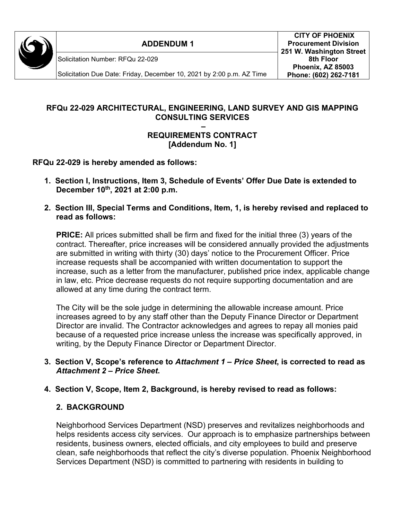

**ADDENDUM 1**

Solicitation Number: RFQu 22-029

Solicitation Due Date: Friday, December 10, 2021 by 2:00 p.m. AZ Time

## **RFQu 22-029 ARCHITECTURAL, ENGINEERING, LAND SURVEY AND GIS MAPPING CONSULTING SERVICES**

#### **– REQUIREMENTS CONTRACT [Addendum No. 1]**

**RFQu 22-029 is hereby amended as follows:** 

- **1. Section I, Instructions, Item 3, Schedule of Events' Offer Due Date is extended to December 10th, 2021 at 2:00 p.m.**
- **2. Section III, Special Terms and Conditions, Item, 1, is hereby revised and replaced to read as follows:**

**PRICE:** All prices submitted shall be firm and fixed for the initial three (3) years of the contract. Thereafter, price increases will be considered annually provided the adjustments are submitted in writing with thirty (30) days' notice to the Procurement Officer. Price increase requests shall be accompanied with written documentation to support the increase, such as a letter from the manufacturer, published price index, applicable change in law, etc. Price decrease requests do not require supporting documentation and are allowed at any time during the contract term.

The City will be the sole judge in determining the allowable increase amount. Price increases agreed to by any staff other than the Deputy Finance Director or Department Director are invalid. The Contractor acknowledges and agrees to repay all monies paid because of a requested price increase unless the increase was specifically approved, in writing, by the Deputy Finance Director or Department Director.

**3. Section V, Scope's reference to** *Attachment 1 – Price Sheet***, is corrected to read as**  *Attachment 2 – Price Sheet***.** 

### **4. Section V, Scope, Item 2, Background, is hereby revised to read as follows:**

# **2. BACKGROUND**

Neighborhood Services Department (NSD) preserves and revitalizes neighborhoods and helps residents access city services. Our approach is to emphasize partnerships between residents, business owners, elected officials, and city employees to build and preserve clean, safe neighborhoods that reflect the city's diverse population. Phoenix Neighborhood Services Department (NSD) is committed to partnering with residents in building to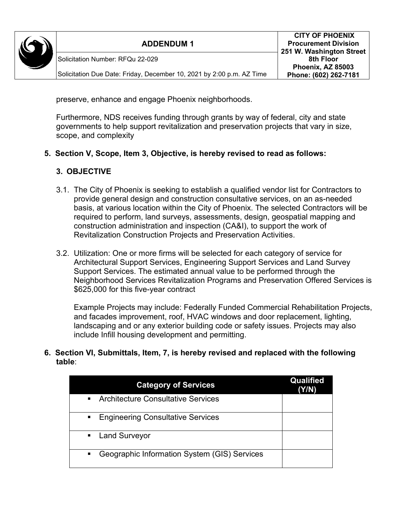

preserve, enhance and engage Phoenix neighborhoods.

Furthermore, NDS receives funding through grants by way of federal, city and state governments to help support revitalization and preservation projects that vary in size, scope, and complexity

#### **5. Section V, Scope, Item 3, Objective, is hereby revised to read as follows:**

#### **3. OBJECTIVE**

- 3.1. The City of Phoenix is seeking to establish a qualified vendor list for Contractors to provide general design and construction consultative services, on an as-needed basis, at various location within the City of Phoenix. The selected Contractors will be required to perform, land surveys, assessments, design, geospatial mapping and construction administration and inspection (CA&I), to support the work of Revitalization Construction Projects and Preservation Activities.
- 3.2. Utilization: One or more firms will be selected for each category of service for Architectural Support Services, Engineering Support Services and Land Survey Support Services. The estimated annual value to be performed through the Neighborhood Services Revitalization Programs and Preservation Offered Services is \$625,000 for this five-year contract

Example Projects may include: Federally Funded Commercial Rehabilitation Projects, and facades improvement, roof, HVAC windows and door replacement, lighting, landscaping and or any exterior building code or safety issues. Projects may also include Infill housing development and permitting.

**6. Section VI, Submittals, Item, 7, is hereby revised and replaced with the following table**:

| <b>Category of Services</b>                                    | Qualified<br>Y/N) |
|----------------------------------------------------------------|-------------------|
| • Architecture Consultative Services                           |                   |
| ■ Engineering Consultative Services                            |                   |
| • Land Surveyor                                                |                   |
| Geographic Information System (GIS) Services<br>$\blacksquare$ |                   |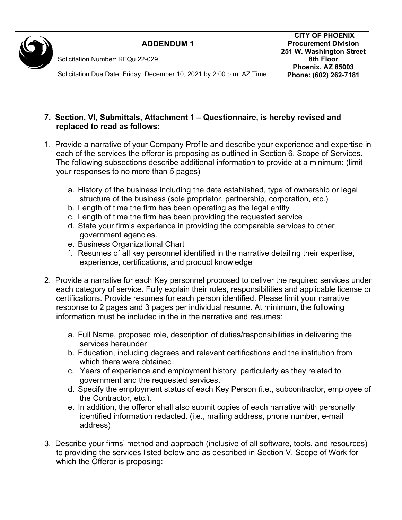

#### **7. Section, VI, Submittals, Attachment 1 – Questionnaire, is hereby revised and replaced to read as follows:**

- 1. Provide a narrative of your Company Profile and describe your experience and expertise in each of the services the offeror is proposing as outlined in Section 6, Scope of Services. The following subsections describe additional information to provide at a minimum: (limit your responses to no more than 5 pages)
	- a. History of the business including the date established, type of ownership or legal structure of the business (sole proprietor, partnership, corporation, etc.)
	- b. Length of time the firm has been operating as the legal entity
	- c. Length of time the firm has been providing the requested service
	- d. State your firm's experience in providing the comparable services to other government agencies.
	- e. Business Organizational Chart
	- f. Resumes of all key personnel identified in the narrative detailing their expertise, experience, certifications, and product knowledge
- 2. Provide a narrative for each Key personnel proposed to deliver the required services under each category of service. Fully explain their roles, responsibilities and applicable license or certifications. Provide resumes for each person identified. Please limit your narrative response to 2 pages and 3 pages per individual resume. At minimum, the following information must be included in the in the narrative and resumes:
	- a. Full Name, proposed role, description of duties/responsibilities in delivering the services hereunder
	- b. Education, including degrees and relevant certifications and the institution from which there were obtained.
	- c. Years of experience and employment history, particularly as they related to government and the requested services.
	- d. Specify the employment status of each Key Person (i.e., subcontractor, employee of the Contractor, etc.).
	- e. In addition, the offeror shall also submit copies of each narrative with personally identified information redacted. (i.e., mailing address, phone number, e-mail address)
- 3. Describe your firms' method and approach (inclusive of all software, tools, and resources) to providing the services listed below and as described in Section V, Scope of Work for which the Offeror is proposing: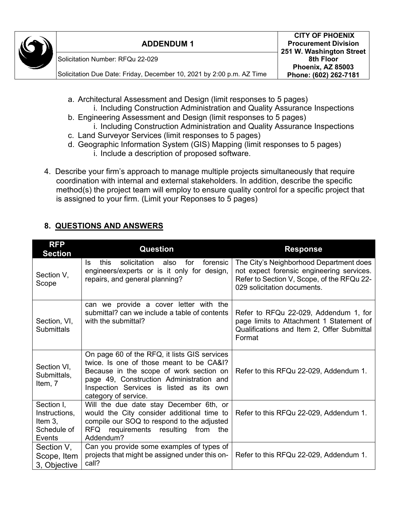| $\mathbb{C}$ | <b>ADDENDUM1</b>                                                      | <b>CITY OF PHOENIX</b><br><b>Procurement Division</b><br>251 W. Washington Street |
|--------------|-----------------------------------------------------------------------|-----------------------------------------------------------------------------------|
|              | Solicitation Number: RFQu 22-029                                      | 8th Floor                                                                         |
|              | Solicitation Due Date: Friday, December 10, 2021 by 2:00 p.m. AZ Time | Phoenix, AZ 85003<br>Phone: (602) 262-7181                                        |

- a. Architectural Assessment and Design (limit responses to 5 pages) i. Including Construction Administration and Quality Assurance Inspections
- b. Engineering Assessment and Design (limit responses to 5 pages) i. Including Construction Administration and Quality Assurance Inspections
- c. Land Surveyor Services (limit responses to 5 pages)
- d. Geographic Information System (GIS) Mapping (limit responses to 5 pages) i. Include a description of proposed software.
- 4. Describe your firm's approach to manage multiple projects simultaneously that require coordination with internal and external stakeholders. In addition, describe the specific method(s) the project team will employ to ensure quality control for a specific project that is assigned to your firm. (Limit your Reponses to 5 pages)

# **8. QUESTIONS AND ANSWERS**

| <b>RFP</b><br><b>Section</b>                                    | <b>Question</b>                                                                                                                                                                                                                                     | <b>Response</b>                                                                                                                                                   |
|-----------------------------------------------------------------|-----------------------------------------------------------------------------------------------------------------------------------------------------------------------------------------------------------------------------------------------------|-------------------------------------------------------------------------------------------------------------------------------------------------------------------|
| Section V,<br>Scope                                             | this<br>solicitation<br>for<br>forensic<br>also<br>ls.<br>engineers/experts or is it only for design,<br>repairs, and general planning?                                                                                                             | The City's Neighborhood Department does<br>not expect forensic engineering services.<br>Refer to Section V, Scope, of the RFQu 22-<br>029 solicitation documents. |
| Section, VI,<br><b>Submittals</b>                               | can we provide a cover letter with the<br>submittal? can we include a table of contents<br>with the submittal?                                                                                                                                      | Refer to RFQu 22-029, Addendum 1, for<br>page limits to Attachment 1 Statement of<br>Qualifications and Item 2, Offer Submittal<br>Format                         |
| Section VI,<br>Submittals,<br>Item, 7                           | On page 60 of the RFQ, it lists GIS services<br>twice. Is one of those meant to be CA&I?<br>Because in the scope of work section on<br>page 49, Construction Administration and<br>Inspection Services is listed as its own<br>category of service. | Refer to this RFQu 22-029, Addendum 1.                                                                                                                            |
| Section I,<br>Instructions,<br>Item 3,<br>Schedule of<br>Events | Will the due date stay December 6th, or<br>would the City consider additional time to<br>compile our SOQ to respond to the adjusted<br>RFQ requirements resulting from the<br>Addendum?                                                             | Refer to this RFQu 22-029, Addendum 1.                                                                                                                            |
| Section V,<br>Scope, Item<br>3, Objective                       | Can you provide some examples of types of<br>projects that might be assigned under this on-<br>call?                                                                                                                                                | Refer to this RFQu 22-029, Addendum 1.                                                                                                                            |